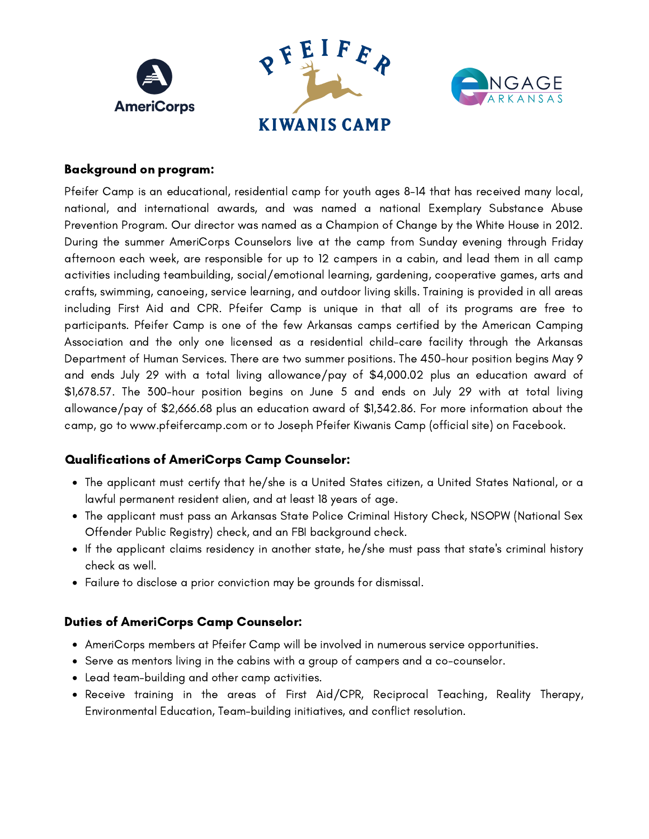

## Background on program:

Pfeifer Camp is an educational, residential camp for youth ages 8-14 that has received many local, national, and international awards, and was named a national Exemplary Substance Abuse Prevention Program. Our director was named as a Champion of Change by the White House in 2012. During the summer AmeriCorps Counselors live at the camp from Sunday evening through Friday afternoon each week, are responsible for up to 12 campers in a cabin, and lead them in all camp activities including teambuilding, social/emotional learning, gardening, cooperative games, arts and crafts, swimming, canoeing, service learning, and outdoor living skills. Training is provided in all areas including First Aid and CPR. Pfeifer Camp is unique in that all of its programs are free to participants. Pfeifer Camp is one of the few Arkansas camps certified by the American Camping Association and the only one licensed as a residential child-care facility through the Arkansas Department of Human Services. There are two summer positions. The 450-hour position begins May 9 and ends July 29 with a total living allowance/pay of \$4,000.02 plus an education award of \$1,678.57. The 300-hour position begins on June 5 and ends on July 29 with at total living allowance/pay of \$2,666.68 plus an education award of \$1,342.86. For more information about the camp, go to [www.pfeifercamp.com](http://www.pfeifercamp.com/) or to Joseph Pfeifer Kiwanis Camp (official site) on Facebook.

## Qualifications of AmeriCorps Camp Counselor:

- The applicant must certify that he/she is a United States citizen, a United States National, or a lawful permanent resident alien, and at least 18 years of age.
- The applicant must pass an Arkansas State Police Criminal History Check, NSOPW (National Sex Offender Public Registry) check, and an FBI background check.
- If the applicant claims residency in another state, he/she must pass that state's criminal history check as well.
- Failure to disclose a prior conviction may be grounds for dismissal.

## Duties of AmeriCorps Camp Counselor:

- AmeriCorps members at Pfeifer Camp will be involved in numerous service opportunities.
- Serve as mentors living in the cabins with a group of campers and a co-counselor.
- Lead team-building and other camp activities.
- Receive training in the areas of First Aid/CPR, Reciprocal Teaching, Reality Therapy, Environmental Education, Team-building initiatives, and conflict resolution.